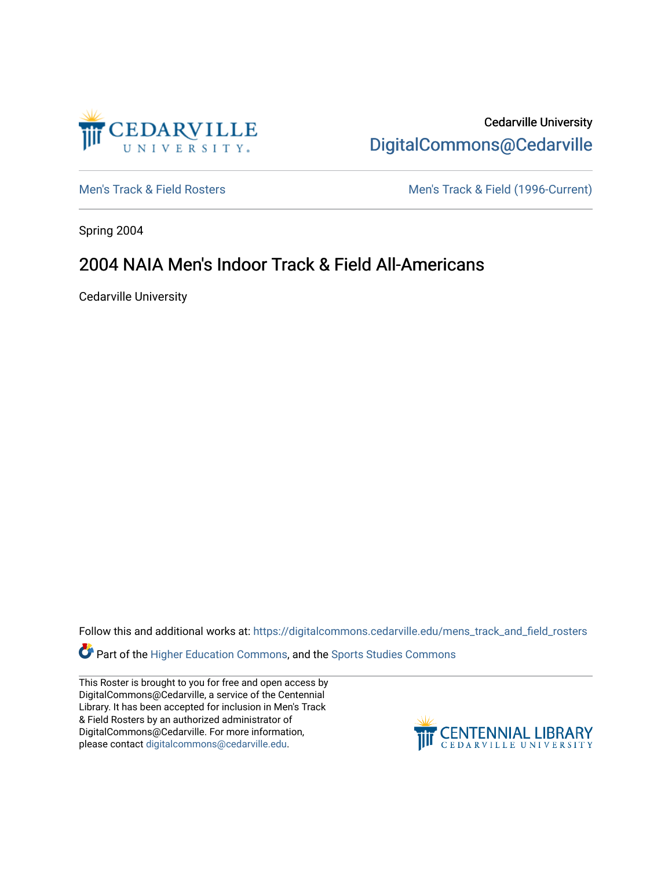

Cedarville University [DigitalCommons@Cedarville](https://digitalcommons.cedarville.edu/) 

[Men's Track & Field Rosters](https://digitalcommons.cedarville.edu/mens_track_and_field_rosters) Men's Track & Field (1996-Current)

Spring 2004

## 2004 NAIA Men's Indoor Track & Field All-Americans

Cedarville University

Follow this and additional works at: [https://digitalcommons.cedarville.edu/mens\\_track\\_and\\_field\\_rosters](https://digitalcommons.cedarville.edu/mens_track_and_field_rosters?utm_source=digitalcommons.cedarville.edu%2Fmens_track_and_field_rosters%2F34&utm_medium=PDF&utm_campaign=PDFCoverPages)

**Part of the [Higher Education Commons,](http://network.bepress.com/hgg/discipline/1245?utm_source=digitalcommons.cedarville.edu%2Fmens_track_and_field_rosters%2F34&utm_medium=PDF&utm_campaign=PDFCoverPages) and the Sports Studies Commons** 

This Roster is brought to you for free and open access by DigitalCommons@Cedarville, a service of the Centennial Library. It has been accepted for inclusion in Men's Track & Field Rosters by an authorized administrator of DigitalCommons@Cedarville. For more information, please contact [digitalcommons@cedarville.edu](mailto:digitalcommons@cedarville.edu).

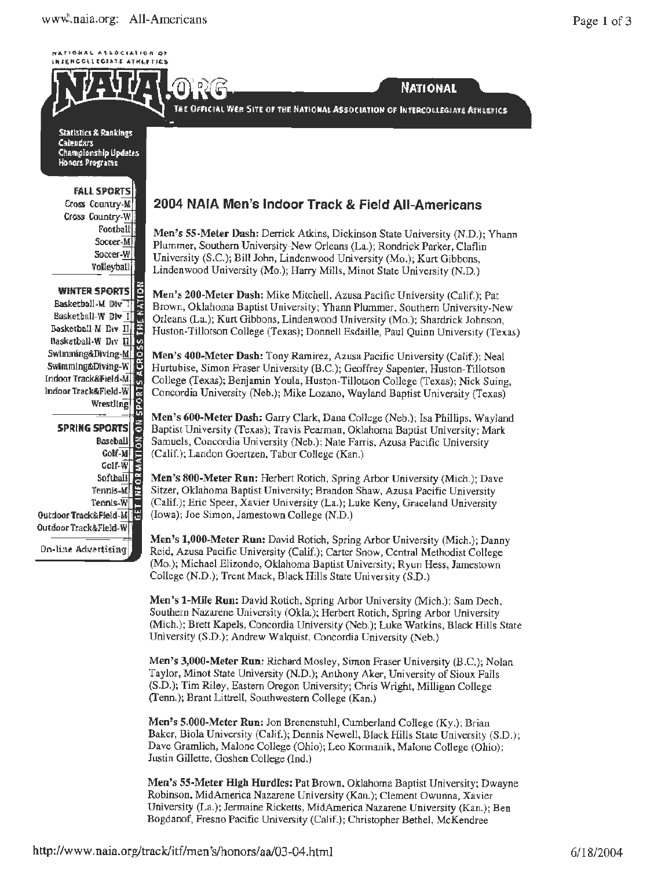**WATEBAAL ASSOCIATION OF** INTERCOLLEGIATE ATHLETICS



Statistics & Rankings Catendars Championship Updates Honors Programs

**FALL SPORTS** Cross Country-M Cross Country-W Football Soccer-M Soccer-W **Volleyball** 

**WINTER SPORTS** Basketball M Div T Basketball-W Div II Dasketball M Div  $\prod_{i=1}^{n}$ Basketball-W Drv II Swimming&Diving-M Swimming&Diving-W Indoor Track&Field-M. Indoor Track&Field-W Wrestling

lã, **SPRING SPORTS Baseball**  $\frac{2}{5}$ Colf-M Golf-W Softhall Tennis-M Tennis-W Outdoor Track&Field-M Outdoor Track&Field-W

On-line Advertising

## 2004 NAIA Men's Indoor Track & Field All-Americans

Men's 55-Meter Dash: Derrick Atkins, Dickinson State University (N.D.); Yhann Plummer, Southern University-New Orleans (La.); Rondrick Parker, Claflin University (S.C.); Bill John, Lindenwood University (Mo.); Kurt Gibbons, Lindenwood University (Mo.); Harry Mills, Minot State University (N.D.)

**NATIONAL** 

Men's 200-Meter Dash: Mike Mitchell, Azusa Pacific University (Calif.); Pat Brown, Oklahoma Baptist University; Yhann Plummer, Southern University-New Orleans (La.); Kurt Gibbons, Lindenwood University (Mo.); Shardrick Johnson, Huston-Tillotson College (Texas); Donnell Esdaille, Paul Quinn University (Texas)

Men's 400-Meter Dash: Tony Ramirez, Azusa Pacific University (Calif.); Neal Hurtubise, Simon Fraser University (B.C.); Geoffrey Sapenter, Huston-Tillotson College (Texas); Benjamin Youla, Huston-Tillotson College (Texas); Nick Suing, Concordia University (Neb.); Mike Lozano, Wayland Baptist University (Texas)

Men's 600-Meter Dash: Garry Clark, Dana College (Neb.); Isa Phillips, Wayland Baptist University (Texas); Travis Pearman, Oklahoma Baptist University; Mark Samuels, Concordia University (Neb.); Nate Farris, Azusa Pacific University (Calif.); Landon Goertzen, Tabor College (Kan.)

Men's 800-Meter Run: Herbert Rotich, Spring Arbor University (Mich.); Dave Sitzer, Oklahoma Baptist University; Brandon Shaw, Azusa Pacific University (Calif.); Eric Speer, Xavier University (La.); Luke Keny, Graceland University (Iowa); Joe Simon, Jamestown College (N.D.)

Men's 1,000-Meter Run: David Rotich, Spring Arbor University (Mich.); Danny Reid, Azusa Pacific University (Calif.); Carter Snow, Central Methodist College (Mo.); Michael Elizondo, Oklahoma Baptist University; Ryun Hess, Jamestown College (N.D.); Trent Mack, Black Hills State University (S.D.)

Men's 1-Mile Run: David Rotich, Spring Arbor University (Mich.); Sam Dech, Southern Nazarene University (Okla.); Herbert Rotich, Spring Arbor University (Mich.); Brett Kapels, Concordia University (Neb.); Luke Watkins, Black Hills State University (S.D.); Andrew Walquist, Concordia University (Neb.)

Men's 3,000-Meter Run: Richard Mosley, Simon Fraser University  $(B.C.)$ ; Nolan Taylor, Minot State University (N.D.); Anthony Aker, University of Sioux Falls (S.D.); Tim Riley, Eastern Oregon University; Chris Wright, Milligan College (Tenn.); Brant Littrell, Southwestern College (Kan.)

Men's 5.000-Meter Run: Jon Brenenstuhl, Cumberland College (Ky.); Brian Baker, Biola University (Calif.); Dennis Newell, Black Hills State University (S.D.); Dave Gramlich, Malone College (Ohio); Leo Kormanik, Malone College (Ohio); Justin Gillette, Goshen College (Ind.)

Men's 55-Meter High Hurdles: Pat Brown, Oklahoma Baptist University; Dwayne Robinson, MidAmerica Nazarene University (Kan.); Clement Owunna, Xavier University (La.); Jermaine Ricketts, MidAmerica Nazarene University (Kan.); Ben Bogdanof, Fresno Pacific University (Calif.); Christopher Bethel, McKendree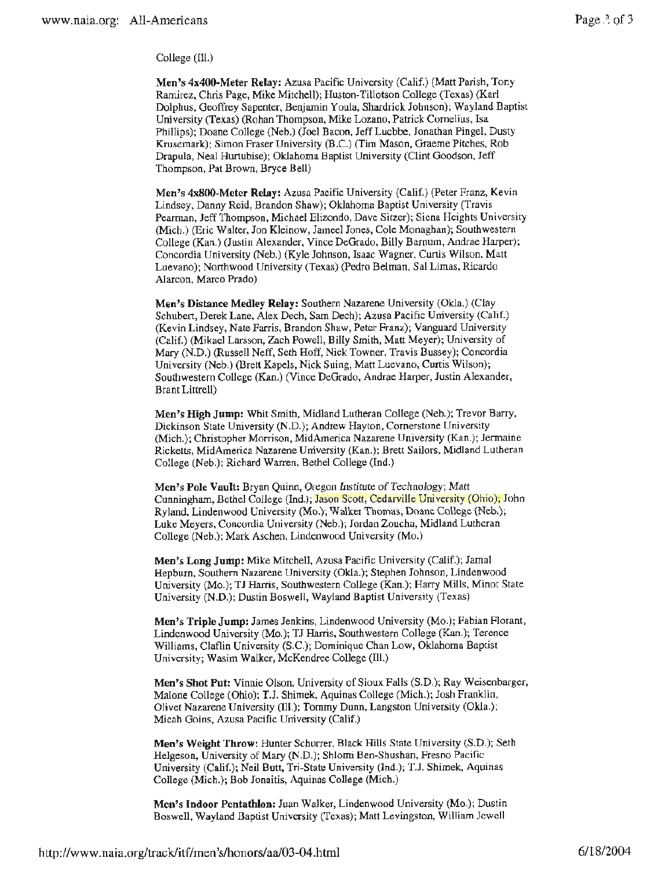College (Ill.)

**Men's 4x400-Meter Relay:** Azusa Pacific University (Calif.) (Matt Parish, Tony Ramirez, Chris Page, Mike Mitchell); Huston-Tillotson College (Texas) (Karl Dolphus, Geoffrey Sapenter, Benjamin Youla, Shardrick Johnson); Wayland Baptist University (Texas) (Rohan Thompson, Mike Lozano, Patrick Cornelius, Isa Phillips); Doane College (Neb.) (Joel Bacon, Jeff Luebbe, Jonathan Pingel, Dusty Krusemark); Simon Fraser University (B.C.) (Tim Mason, Graeme Pitches, Rob Drapula, Neal Hurtubise); Oklahoma Baptist University (Clint Goodson, Jeff Thompson, Pat Brown, Bryce Bell)

**Men's 4x800-Meter Relay:** Azusa Pacific University (Calif.) (Peter Franz, Kevin Lindsey, Danny Reid, Brandon Shaw); Oklahoma Baptist University (Travis Pearman, Jeff Thompson, Michael Elizondo, Dave Sitzer); Siena Heights University (Mich.) (Eric Walter, Jon Kleinow, Jameel Jones, Cole Monaghan); Southwestern College (Kan.) (Juslin Alexander, Vince DeGrado, Billy Barnum, Andrae Harper); Concordia University (Neb.) (Kyle Johnson, Isaac Wagner, Curtis Wilson, Matt Luevano); Northwood University (Texas) (Pedro Belman, Sal Limas, Ricardo Alarcon, Marco Prado)

**Men's Distance Medley Relay:** Southern Nazarene University (Okla.) (Clay Schubert, Derek Lane, Alex Dech, Sam Dech); Azusa Pacific University (Calif.) (Kevin Lindsey, Nate Farris, Brandon Shaw, Peter Franz); Vanguard University (Calif.) (Mikael Larsson, Zach Powell, Billy Smith, Matt Meyer); University of Mary (N.D.) (Russell Neff, Seth Hoff, Nick Towner, Travis Bussey); Concordia University (Neb.) (Brett Kapels, Nick Suing, Matt Luevano, Curtis Wilson); Southwestern College (Kan.) (Vince DeGrado, Andrae Harper, Justin Alexander, Brant Littrell)

**Men's High Jump:** Whit Smith, Midland Lutheran College (Neb.); Trevor Barry, Dickinson State University (N.D.); Andrew Hayton, Cornerstone University (Mich.); Christopher Morrison, MidAmerica Nazarene University (Kan.); Jermaine Ricketts, MidAmerica Nazarene University (Kan.); Brett Sailors, Midland Lutheran College (Neb.); Richard Warren, Bethel College (Ind.)

**Men's Pole Vault:** Bryan Quinn, Oregon Institute of Technology; Matt Cunningham, Bethel College {Ind.); Jason Scott, Cedarville University (Ohio); John Ryland, Lindenwood University (Mo.); Walker Thomas, Doane College (Neb.); Luke Meyers, Concordia University (Neb.); Jordan Zoucha, Midland Lutheran College (Neb.); Mark Aschen, Lindenwood University (Mo.)

**Men's Long Jump:** Mike Mitchell, Azusa Pacific University (Calif.); Jamal Hepburn, Southern Nazarene University (Okla.); Stephen Johnson, Lindenwood University (Mo.); TJ Harris, Southwestern College (Kan.); Harry Mills. Minot State University **(N.D.);** Dustin Boswell, Wayland Baptist University (Texas)

**Men's Triple Jump:** James Jenkins, Lindenwood University (Mo.); Fabian Florant, Lindenwood University (Mo.); TJ Harris, Southwestern College (Kan.); Terence Williams, Claflin University (S.C.); Dominique Chan Low, Oklahoma Baptist University; Wasim Walker, McKendree College (Ill.)

**Men's Shot Put:** Vinnie Olson, University of Sioux Falls (S.D.); Ray Wcisenbarger, Malone College (Ohio); T.J. Shimek, Aquinas College (Mich.); Josh Franklin, Olivet Nazarene University (Ill.); Tommy Dunn, Langston University (Okla.); Micah Goins, Azusa Pacific University (Calif.)

**Men's Weight Throw:** Hunter Schurrer, Black Hills State University (S.D.); Seth Helgeson, University of Mary (N.D.); Shlomi Ben-Shushan, Fresno Pacific University (Calif.); Neil Butt, Tri-State University (Ind.); T.J. Shimek, Aquinas College (Mich.); Bob Jonaitis, Aquinas College (Mich.)

**Men's Indoor Pentathlon:** Juan Walker, Lindenwood University (Mo.); Dustin Boswell, Wayland Baptist University (Texas); Matt Levingston, William Jewell